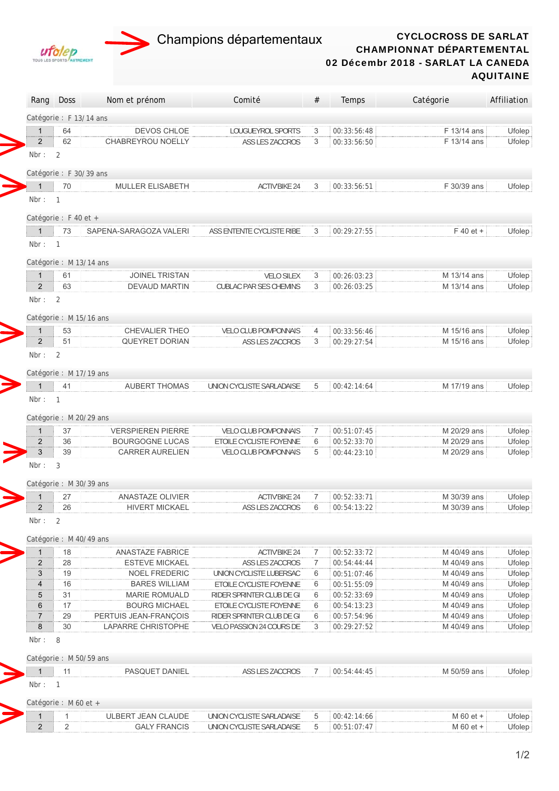



Rang Doss Nom et prénom Comité # Temps Catégorie Affiliation

## CYCLOCROSS DE SARLAT CHAMPIONNAT DÉPARTEMENTAL 02 Décembr 2018 - SARLAT LA CANEDA AQUITAINE

|                                  | Catégorie : F 13/14 ans |                                              |                                                    |        |                            |                            |                  |
|----------------------------------|-------------------------|----------------------------------------------|----------------------------------------------------|--------|----------------------------|----------------------------|------------------|
| $\mathbf{1}$                     | 64                      | DEVOS CHLOE                                  | LOUGUEYROL SPORTS                                  | 3      | 00:33:56:48                | F 13/14 ans                | Ufolep           |
| $\overline{2}$                   | 62                      | <b>CHABREYROU NOELLY</b>                     | ASS LES ZACCROS                                    | 3      | 00:33:56:50                | F 13/14 ans                | Ufolep           |
| Nbr:                             | 2                       |                                              |                                                    |        |                            |                            |                  |
|                                  | Catégorie : F 30/39 ans |                                              |                                                    |        |                            |                            |                  |
| $\mathbf{1}$                     | 70                      | <b>MULLER ELISABETH</b>                      | <b>ACTIV'BIKE 24</b>                               | 3      | 00:33:56:51                | F 30/39 ans                | Ufolep           |
| Nbr: $1$                         |                         |                                              |                                                    |        |                            |                            |                  |
|                                  | Catégorie : F 40 et +   |                                              |                                                    |        |                            |                            |                  |
| $\mathbf{1}$                     | 73                      | SAPENA-SARAGOZA VALERI                       | ASS ENTENTE CYCLISTE RIBE                          | 3      | 00:29:27:55                | $F$ 40 et +                | Ufolep           |
| Nbr:                             | $\overline{1}$          |                                              |                                                    |        |                            |                            |                  |
|                                  | Catégorie : M 13/14 ans |                                              |                                                    |        |                            |                            |                  |
| $\mathbf{1}$                     | 61                      | <b>JOINEL TRISTAN</b>                        | <b>VELO SILEX</b>                                  | 3      | 00:26:03:23                | M 13/14 ans                | Ufolep           |
| 2                                | 63                      | DEVAUD MARTIN                                | <b>CUBLAC PAR SES CHEMINS</b>                      | 3      | 00:26:03:25                | M 13/14 ans                | Ufolep           |
| Nbr:                             | $\overline{2}$          |                                              |                                                    |        |                            |                            |                  |
|                                  | Catégorie : M 15/16 ans |                                              |                                                    |        |                            |                            |                  |
| $\mathbf{1}$                     | 53                      | <b>CHEVALIER THEO</b>                        | <b>VELO CLUB POMPONNAIS</b>                        | 4      | 00:33:56:46                | M 15/16 ans                | Ufolep           |
| $\overline{2}$                   | 51                      | <b>QUEYRET DORIAN</b>                        | ASS LES ZACCROS                                    | 3      | 00:29:27:54                | M 15/16 ans                | Ufolep           |
| Nbr:                             | 2                       |                                              |                                                    |        |                            |                            |                  |
|                                  | Catégorie : M 17/19 ans |                                              |                                                    |        |                            |                            |                  |
| $\mathbf{1}$                     | 41                      | AUBERT THOMAS                                | UNION CYCLISTE SARLADAISE                          | 5      | 00:42:14:64                | M 17/19 ans                | Ufolep           |
| Nbr :                            | $\mathbf{1}$            |                                              |                                                    |        |                            |                            |                  |
|                                  | Catégorie : M 20/29 ans |                                              |                                                    |        |                            |                            |                  |
| $\mathbf{1}$                     | 37                      | <b>VERSPIEREN PIERRE</b>                     | <b>VELO CLUB POMPONNAIS</b>                        | 7      | 00:51:07:45                | M 20/29 ans                | Ufolep           |
| $\overline{2}$                   | 36                      | <b>BOURGOGNE LUCAS</b>                       | ETOILE CYCLISTE FOYENNE                            | 6      | 00:52:33:70                | M 20/29 ans                | Ufolep           |
| 3                                | 39                      | <b>CARRER AURELIEN</b>                       | <b>VELO CLUB POMPONNAIS</b>                        | 5      | 00:44:23:10                | M 20/29 ans                | Ufolep           |
| Nbr:                             | 3                       |                                              |                                                    |        |                            |                            |                  |
|                                  | Catégorie : M 30/39 ans |                                              |                                                    |        |                            |                            |                  |
| $\mathbf{1}$                     | 27                      | ANASTAZE OLIVIER                             | <b>ACTIV'BIKE 24</b>                               | 7      | 00:52:33:71                | M 30/39 ans                | Ufolep           |
| $\overline{2}$                   | 26                      | <b>HIVERT MICKAEL</b>                        | ASS LES ZACCROS                                    | 6      | 00:54:13:22                | M 30/39 ans                | Ufolep           |
| Nbr:                             | 2                       |                                              |                                                    |        |                            |                            |                  |
|                                  | Catégorie : M 40/49 ans |                                              |                                                    |        |                            |                            |                  |
| 1                                | 18                      | <b>ANASTAZE FABRICE</b>                      | <b>ACTIV'BIKE 24</b>                               | 7      | 00:52:33:72                | M 40/49 ans                | Ufolep           |
| $\overline{c}$<br>$\mathfrak{S}$ | 28                      | <b>ESTEVE MICKAEL</b>                        | ASS LES ZACCROS                                    | 7      | 00:54:44:44                | M 40/49 ans                | Ufolep           |
| $\overline{\mathbf{4}}$          | 19<br>16                | <b>NOEL FREDERIC</b><br><b>BARES WILLIAM</b> | UNION CYCLISTE LUBERSAC<br>ETOILE CYCLISTE FOYENNE | 6<br>6 | 00:51:07:46<br>00:51:55:09 | M 40/49 ans<br>M 40/49 ans | Ufolep<br>Ufolep |
| 5                                | 31                      | <b>MARIE ROMUALD</b>                         | RIDER SPRINTER CLUB DE GI                          | 6      | 00:52:33:69                | M 40/49 ans                | Ufolep           |
| $\,6\,$                          | 17                      | <b>BOURG MICHAEL</b>                         | ETOILE CYCLISTE FOYENNE                            | 6      | 00:54:13:23                | M 40/49 ans                | Ufolep           |
| $\sqrt{7}$                       | 29                      | PERTUIS JEAN-FRANÇOIS                        | RIDER SPRINTER CLUB DE GI                          | 6      | 00:57:54:96                | M 40/49 ans                | Ufolep           |
| 8                                | 30                      | LAPARRE CHRISTOPHE                           | VELO PASSION 24 COURS DE                           | 3      | 00:29:27:52                | M 40/49 ans                | Ufolep           |
| Nbr:                             | 8                       |                                              |                                                    |        |                            |                            |                  |
|                                  | Catégorie : M 50/59 ans |                                              |                                                    |        |                            |                            |                  |
| $\mathbf{1}$                     | 11                      | PASQUET DANIEL                               | ASS LES ZACCROS                                    | 7      | 00:54:44:45                | M 50/59 ans                | Ufolep           |
| Nbr:                             | $\overline{1}$          |                                              |                                                    |        |                            |                            |                  |
|                                  | Catégorie : M 60 et +   |                                              |                                                    |        |                            |                            |                  |
| $\mathbf{1}$                     | 1                       | ULBERT JEAN CLAUDE                           | UNION CYCLISTE SARLADAISE                          | 5      | 00:42:14:66                | M 60 et +                  | Ufolep           |
| $\overline{2}$                   | $\overline{2}$          | <b>GALY FRANCIS</b>                          | UNION CYCLISTE SARLADAISE                          | 5      | 00:51:07:47                | M 60 et +                  | Ufolep           |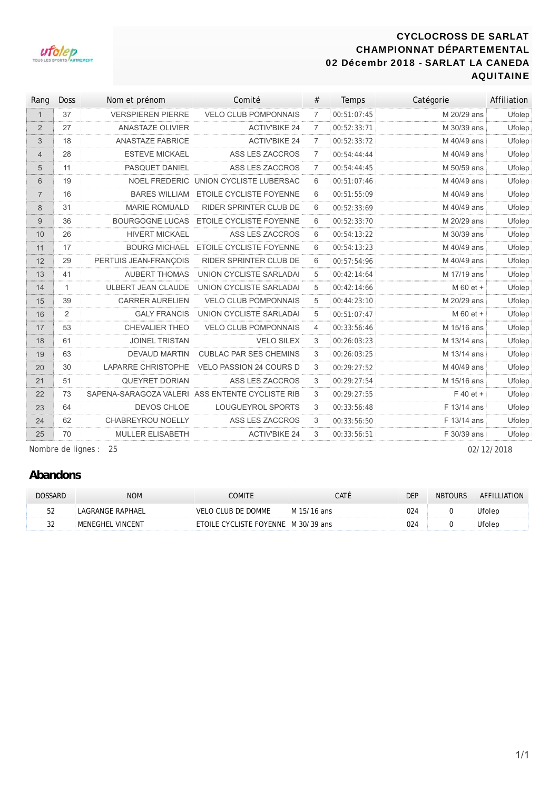## CYCLOCROSS DE SARLAT CHAMPIONNAT DÉPARTEMENTAL 02 Décembr 2018 - SARLAT LA CANEDA AQUITAINE



| Rang           | <b>Doss</b>  | Nom et prénom             | Comité                                          | #              | <b>Temps</b> | Catégorie   | Affiliation |
|----------------|--------------|---------------------------|-------------------------------------------------|----------------|--------------|-------------|-------------|
| $\mathbf{1}$   | 37           | <b>VERSPIEREN PIERRE</b>  | <b>VELO CLUB POMPONNAIS</b>                     | $\overline{7}$ | 00:51:07:45  | M 20/29 ans | Ufolep      |
| $\overline{2}$ | 27           | <b>ANASTAZE OLIVIER</b>   | <b>ACTIV'BIKE 24</b>                            | $\overline{7}$ | 00:52:33:71  | M 30/39 ans | Ufolep      |
| 3              | 18           | <b>ANASTAZE FABRICE</b>   | <b>ACTIV'BIKE 24</b>                            | $\overline{7}$ | 00:52:33:72  | M 40/49 ans | Ufolep      |
| $\overline{4}$ | 28           | <b>ESTEVE MICKAEL</b>     | ASS LES ZACCROS                                 | $\overline{7}$ | 00:54:44:44  | M 40/49 ans | Ufolep      |
| 5              | 11           | PASQUET DANIEL            | ASS LES ZACCROS                                 | $\overline{7}$ | 00:54:44:45  | M 50/59 ans | Ufolep      |
| 6              | 19           | <b>NOEL FREDERIC</b>      | UNION CYCLISTE LUBERSAC                         | 6              | 00:51:07:46  | M 40/49 ans | Ufolep      |
| $\overline{7}$ | 16           | <b>BARES WILLIAM</b>      | <b>ETOILE CYCLISTE FOYENNE</b>                  | 6              | 00:51:55:09  | M 40/49 ans | Ufolep      |
| 8              | 31           | <b>MARIE ROMUALD</b>      | <b>RIDER SPRINTER CLUB DE</b>                   | 6              | 00:52:33:69  | M 40/49 ans | Ufolep      |
| 9              | 36           | <b>BOURGOGNE LUCAS</b>    | ETOILE CYCLISTE FOYENNE                         | 6              | 00:52:33:70  | M 20/29 ans | Ufolep      |
| 10             | 26           | <b>HIVERT MICKAEL</b>     | ASS LES ZACCROS                                 | 6              | 00:54:13:22  | M 30/39 ans | Ufolep      |
| 11             | 17           | <b>BOURG MICHAEL</b>      | ETOILE CYCLISTE FOYENNE                         | 6              | 00:54:13:23  | M 40/49 ans | Ufolep      |
| 12             | 29           | PERTUIS JEAN-FRANÇOIS     | <b>RIDER SPRINTER CLUB DE</b>                   | 6              | 00:57:54:96  | M 40/49 ans | Ufolep      |
| 13             | 41           | <b>AUBERT THOMAS</b>      | UNION CYCLISTE SARLADAI                         | 5              | 00:42:14:64  | M 17/19 ans | Ufolep      |
| 14             | $\mathbf{1}$ | <b>ULBERT JEAN CLAUDE</b> | UNION CYCLISTE SARLADAI                         | 5              | 00:42:14:66  | M 60 et +   | Ufolep      |
| 15             | 39           | <b>CARRER AURELIEN</b>    | <b>VELO CLUB POMPONNAIS</b>                     | 5              | 00:44:23:10  | M 20/29 ans | Ufolep      |
| 16             | 2            | <b>GALY FRANCIS</b>       | UNION CYCLISTE SARLADAI                         | 5              | 00:51:07:47  | M 60 et +   | Ufolep      |
| 17             | 53           | CHEVALIER THEO            | <b>VELO CLUB POMPONNAIS</b>                     | $\overline{4}$ | 00:33:56:46  | M 15/16 ans | Ufolep      |
| 18             | 61           | <b>JOINEL TRISTAN</b>     | <b>VELO SILEX</b>                               | 3              | 00:26:03:23  | M 13/14 ans | Ufolep      |
| 19             | 63           | <b>DEVAUD MARTIN</b>      | <b>CUBLAC PAR SES CHEMINS</b>                   | 3              | 00:26:03:25  | M 13/14 ans | Ufolep      |
| 20             | 30           | LAPARRE CHRISTOPHE        | <b>VELO PASSION 24 COURS D</b>                  | 3              | 00:29:27:52  | M 40/49 ans | Ufolep      |
| 21             | 51           | <b>QUEYRET DORIAN</b>     | ASS LES ZACCROS                                 | 3              | 00:29:27:54  | M 15/16 ans | Ufolep      |
| 22             | 73           |                           | SAPENA-SARAGOZA VALERI ASS ENTENTE CYCLISTE RIB | 3              | 00:29:27:55  | $F$ 40 et + | Ufolep      |
| 23             | 64           | DEVOS CHLOE               | LOUGUEYROL SPORTS                               | 3              | 00:33:56:48  | F 13/14 ans | Ufolep      |
| 24             | 62           | CHABREYROU NOELLY         | ASS LES ZACCROS                                 | 3              | 00:33:56:50  | F 13/14 ans | Ufolep      |
| 25             | 70           | MULLER ELISABETH          | <b>ACTIV'BIKE 24</b>                            | 3              | 00:33:56:51  | F 30/39 ans | Ufolep      |

Nombre de lignes : 25 02/12/2018

## **Abandons**

| DOSSARD | <b>NOM</b>       | <b>COMITE</b>                       | CATÉ        | <b>DEP</b> | <b>NBTOURS</b> | AFFILLIATION |
|---------|------------------|-------------------------------------|-------------|------------|----------------|--------------|
| гn      | LAGRANGE RAPHAEL | VELO CLUB DE DOMME                  | M 15/16 ans | 024        |                | Ufolep       |
| ົ       | MENEGHEL VINCENT | ETOILE CYCLISTE FOYENNE M 30/39 ans |             | 024        |                | Ufolep       |